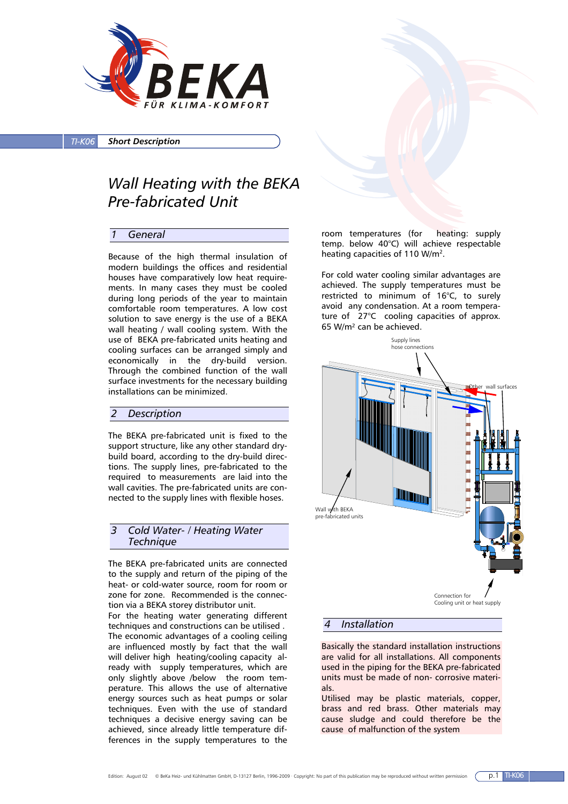

*TI-K06 Short Description*

# *Wall Heating with the BEKA Pre-fabricated Unit*

# *1 General*

Because of the high thermal insulation of modern buildings the offices and residential houses have comparatively low heat requirements. In many cases they must be cooled during long periods of the year to maintain comfortable room temperatures. A low cost solution to save energy is the use of a BEKA wall heating / wall cooling system. With the use of BEKA pre-fabricated units heating and cooling surfaces can be arranged simply and economically in the dry-build version. Through the combined function of the wall surface investments for the necessary building installations can be minimized.

#### *2 Description*

The BEKA pre-fabricated unit is fixed to the support structure, like any other standard drybuild board, according to the dry-build directions. The supply lines, pre-fabricated to the required to measurements are laid into the wall cavities. The pre-fabricated units are connected to the supply lines with flexible hoses.

# *3 Cold Water- / Heating Water Technique*

The BEKA pre-fabricated units are connected to the supply and return of the piping of the heat- or cold-water source, room for room or zone for zone. Recommended is the connection via a BEKA storey distributor unit.

For the heating water generating different techniques and constructions can be utilised . The economic advantages of a cooling ceiling are influenced mostly by fact that the wall will deliver high heating/cooling capacity already with supply temperatures, which are only slightly above /below the room temperature. This allows the use of alternative energy sources such as heat pumps or solar techniques. Even with the use of standard techniques a decisive energy saving can be achieved, since already little temperature differences in the supply temperatures to the

room temperatures (for heating: supply temp. below 40°C) will achieve respectable heating capacities of 110 W/m<sup>2</sup>.

For cold water cooling similar advantages are achieved. The supply temperatures must be restricted to minimum of 16°C, to surely avoid any condensation. At a room temperature of 27°C cooling capacities of approx. 65 W/m² can be achieved.



#### *4 Installation*

Basically the standard installation instructions are valid for all installations. All components used in the piping for the BEKA pre-fabricated units must be made of non- corrosive materials.

Utilised may be plastic materials, copper, brass and red brass. Other materials may cause sludge and could therefore be the cause of malfunction of the system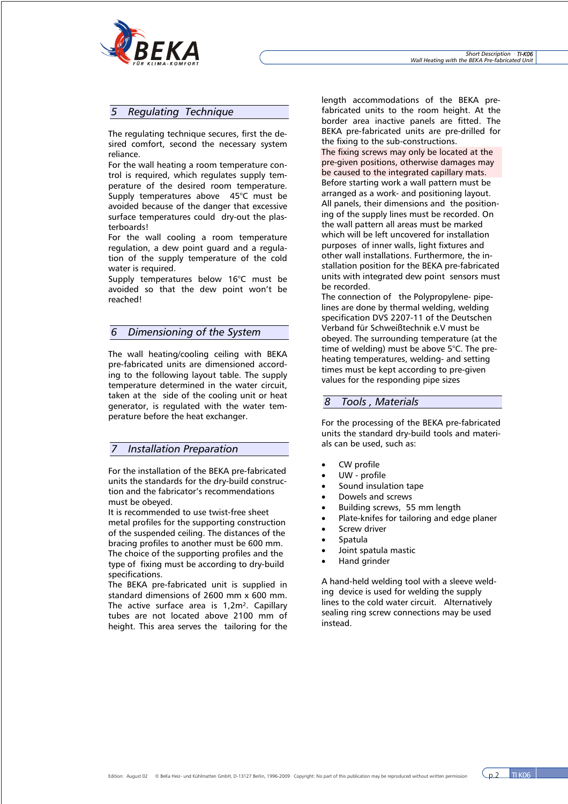

# *5 Regulating Technique*

The regulating technique secures, first the desired comfort, second the necessary system reliance.

For the wall heating a room temperature control is required, which regulates supply temperature of the desired room temperature. Supply temperatures above 45°C must be avoided because of the danger that excessive surface temperatures could dry-out the plasterboards!

For the wall cooling a room temperature regulation, a dew point guard and a regulation of the supply temperature of the cold water is required.

Supply temperatures below 16°C must be avoided so that the dew point won't be reached!

# *6 Dimensioning of the System*

The wall heating/cooling ceiling with BEKA pre-fabricated units are dimensioned according to the following layout table. The supply temperature determined in the water circuit, taken at the side of the cooling unit or heat generator, is regulated with the water temperature before the heat exchanger.

## *7 Installation Preparation*

For the installation of the BEKA pre-fabricated units the standards for the dry-build construction and the fabricator's recommendations must be obeyed.

It is recommended to use twist-free sheet metal profiles for the supporting construction of the suspended ceiling. The distances of the bracing profiles to another must be 600 mm. The choice of the supporting profiles and the type of fixing must be according to dry-build specifications.

The BEKA pre-fabricated unit is supplied in standard dimensions of 2600 mm x 600 mm. The active surface area is 1,2m<sup>2</sup>. Capillary tubes are not located above 2100 mm of height. This area serves the tailoring for the

length accommodations of the BEKA prefabricated units to the room height. At the border area inactive panels are fitted. The BEKA pre-fabricated units are pre-drilled for the fixing to the sub-constructions.

The fixing screws may only be located at the pre-given positions, otherwise damages may be caused to the integrated capillary mats. Before starting work a wall pattern must be arranged as a work- and positioning layout. All panels, their dimensions and the positioning of the supply lines must be recorded. On the wall pattern all areas must be marked which will be left uncovered for installation purposes of inner walls, light fixtures and other wall installations. Furthermore, the installation position for the BEKA pre-fabricated units with integrated dew point sensors must be recorded.

The connection of the Polypropylene- pipelines are done by thermal welding, welding specification DVS 2207-11 of the Deutschen Verband für Schweißtechnik e.V must be obeyed. The surrounding temperature (at the time of welding) must be above 5°C. The preheating temperatures, welding- and setting times must be kept according to pre-given values for the responding pipe sizes

#### *8 Tools , Materials*

For the processing of the BEKA pre-fabricated units the standard dry-build tools and materials can be used, such as:

- CW profile
- UW profile
- Sound insulation tape
- Dowels and screws
- Building screws, 55 mm length
- Plate-knifes for tailoring and edge planer
- Screw driver
- Spatula
- Joint spatula mastic
- Hand grinder

A hand-held welding tool with a sleeve welding device is used for welding the supply lines to the cold water circuit. Alternatively sealing ring screw connections may be used instead.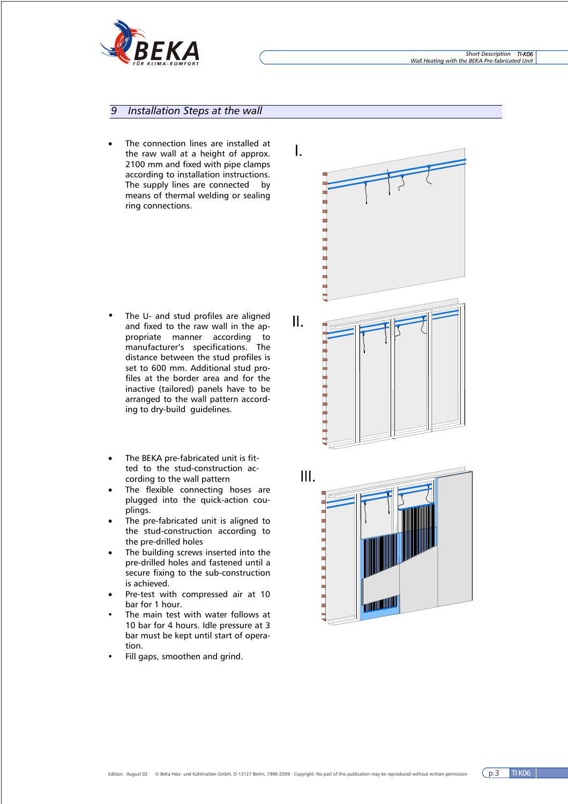

# *9 Installation Steps at the wall*

The connection lines are installed at the raw wall at a height of approx. 2100 mm and fixed with pipe clamps according to installation instructions. The supply lines are connected by means of thermal welding or sealing ring connections.

- The U- and stud profiles are aligned and fixed to the raw wall in the appropriate manner according to manufacturer's specifications. The distance between the stud profiles is set to 600 mm. Additional stud profiles at the border area and for the inactive (tailored) panels have to be arranged to the wall pattern according to dry-build guidelines.
- The BEKA pre-fabricated unit is fitted to the stud-construction according to the wall pattern
- The flexible connecting hoses are plugged into the quick-action couplings.
- The pre-fabricated unit is aligned to the stud-construction according to the pre-drilled holes
- The building screws inserted into the pre-drilled holes and fastened until a secure fixing to the sub-construction is achieved.
- Pre-test with compressed air at 10 bar for 1 hour.
- The main test with water follows at 10 bar for 4 hours. Idle pressure at 3 bar must be kept until start of operation.
- Fill gaps, smoothen and grind.

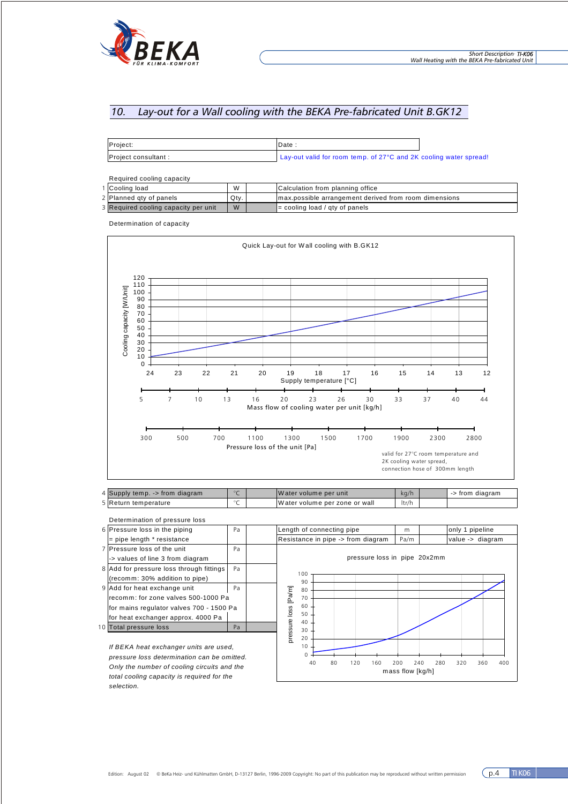

# *10. Lay-out for a Wall cooling with the BEKA Pre-fabricated Unit B.GK12*

| Project:             | Date                                                                           |  |
|----------------------|--------------------------------------------------------------------------------|--|
| Project consultant : | Lay-out valid for room temp. of 27 <sup>o</sup> C and 2K cooling water spread! |  |

Required cooling capacity

| 1 Cooling load                       | W    | Calculation from planning office                       |
|--------------------------------------|------|--------------------------------------------------------|
| 2 Planned gty of panels              | Qty. | Imax.possible arrangement derived from room dimensions |
| 3 Required cooling capacity per unit | W    | $\equiv$ cooling load / gty of panels                  |

Determination of capacity



5 Return temperature °C W ater volume per zone or wall ltr/h

|  | Determination of pressure loss                                                        |    |  |                                    |  |   |      |                              |  |                  |  |
|--|---------------------------------------------------------------------------------------|----|--|------------------------------------|--|---|------|------------------------------|--|------------------|--|
|  | 6 Pressure loss in the piping                                                         | Pa |  | Length of connecting pipe          |  | m |      | only 1 pipeline              |  |                  |  |
|  | $=$ pipe length $*$ resistance                                                        |    |  | Resistance in pipe -> from diagram |  |   | Pa/m |                              |  | value -> diagram |  |
|  | 7 Pressure loss of the unit                                                           | Pa |  |                                    |  |   |      |                              |  |                  |  |
|  | -> values of line 3 from diagram                                                      |    |  |                                    |  |   |      | pressure loss in pipe 20x2mm |  |                  |  |
|  | 8 Add for pressure loss through fittings                                              | Pa |  |                                    |  |   |      |                              |  |                  |  |
|  | (recomm: 30% addition to pipe)                                                        |    |  | 100<br>90                          |  |   |      |                              |  |                  |  |
|  | 9 Add for heat exchange unit                                                          | Pa |  | 80                                 |  |   |      |                              |  |                  |  |
|  | recomm: for zone valves 500-1000 Pa                                                   |    |  | [Pa/m]<br>70                       |  |   |      |                              |  |                  |  |
|  | for mains regulator valves 700 - 1500 Pa                                              |    |  | 60                                 |  |   |      |                              |  |                  |  |
|  | for heat exchanger approx. 4000 Pa                                                    |    |  | 50<br>40                           |  |   |      |                              |  |                  |  |
|  | 10 Total pressure loss                                                                | Pa |  | 30                                 |  |   |      |                              |  |                  |  |
|  |                                                                                       |    |  | pressure loss<br>20                |  |   |      |                              |  |                  |  |
|  | If BEKA heat exchanger units are used,<br>pressure loss determination can be omitted. |    |  | 10                                 |  |   |      |                              |  |                  |  |
|  |                                                                                       |    |  |                                    |  |   |      |                              |  |                  |  |

40 80 120 160 200 240 280 320 360 400 mass flow [kg/h]

*pressure loss determination can be omitted. Only the number of cooling circuits and the total cooling capacity is required for the selection.*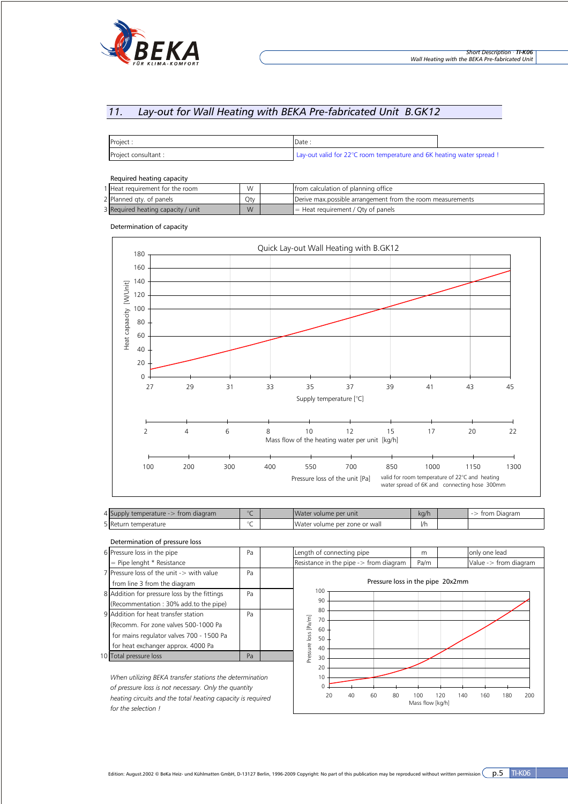

# *11. Lay-out for Wall Heating with BEKA Pre-fabricated Unit B.GK12*

| Project:             | Date                                                                  |  |
|----------------------|-----------------------------------------------------------------------|--|
| Project consultant : | Lay-out valid for 22°C room temperature and 6K heating water spread ! |  |

#### Required heating capacity

| 1 Heat requirement for the room    | W.  | Ifrom calculation of planning office                       |
|------------------------------------|-----|------------------------------------------------------------|
| 2 Planned gty. of panels           | Oty | Derive max possible arrangement from the room measurements |
| 3 Required heating capacity / unit | M   | $\P =$ Heat requirement / Qty of panels                    |

Determination of capacity



| <b>Supply temperature -&gt;</b><br>$\cdot$ from diagram |  | lWater volume per unit        | ka/h | Diagram<br>trom |
|---------------------------------------------------------|--|-------------------------------|------|-----------------|
| 5 Return temperature                                    |  | Water volume per zone or wall | 1/r  |                 |

| Determination of pressure loss                              |    |                                                                                    |
|-------------------------------------------------------------|----|------------------------------------------------------------------------------------|
| 6 Pressure loss in the pipe                                 | Pa | only one lead<br>Length of connecting pipe<br>m                                    |
| = Pipe lenght * Resistance                                  |    | Resistance in the pipe $\rightarrow$ from diagram<br>Value -> from diagram<br>Pa/m |
| 7 Pressure loss of the unit -> with value                   | Pa |                                                                                    |
| from line 3 from the diagram                                |    | Pressure loss in the pipe 20x2mm                                                   |
| 8 Addition for pressure loss by the fittings                | Pa | 100                                                                                |
| (Recommentation: 30% add.to the pipe)                       |    | 90                                                                                 |
| 9 Addition for heat transfer station                        | Pa | 80<br>70                                                                           |
| (Recomm. For zone valves 500-1000 Pa                        |    | [Pa/m]<br>60                                                                       |
| for mains regulator valves 700 - 1500 Pa                    |    | loss<br>50                                                                         |
| for heat exchanger approx. 4000 Pa                          |    | 40                                                                                 |
| 10 Total pressure loss                                      | Pa | Pressure<br>30                                                                     |
|                                                             |    | 20                                                                                 |
| When utilizing BEKA transfer stations the determination     |    | 10                                                                                 |
| of pressure loss is not necessary. Only the quantity        |    |                                                                                    |
| boating circuits and the total boating canacity is required |    | 80<br>100<br>20<br>40<br>60<br>120<br>180<br>200<br>140<br>160                     |

*heating circuits and the total heating capacity is required for the selection !*

Edition: August.2002 © BeKa Heiz- und Kühlmatten GmbH, D-13127 Berlin, 1996-2009 Copyright: No part of this publication may be reproduced without written permission  $\overline{p.5}$  TI-K06

Mass flow [kg/h]